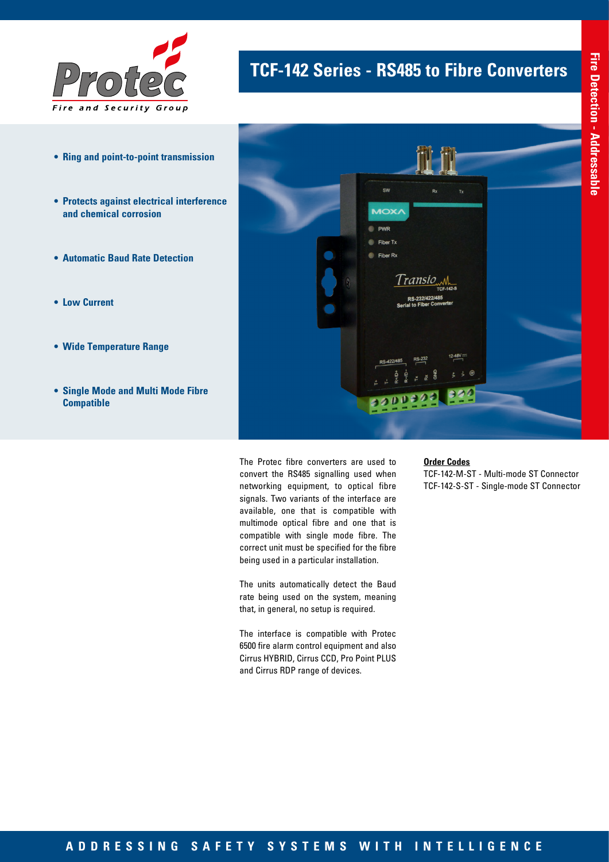

- **• Ring and point-to-point transmission**
- **• Protects against electrical interference and chemical corrosion**
- **• Automatic Baud Rate Detection**
- **• Low Current**
- **• Wide Temperature Range**
- **• Single Mode and Multi Mode Fibre Compatible**





The Protec fibre converters are used to convert the RS485 signalling used when networking equipment, to optical fibre signals. Two variants of the interface are available, one that is compatible with multimode optical fibre and one that is compatible with single mode fibre. The correct unit must be specified for the fibre being used in a particular installation.

The units automatically detect the Baud rate being used on the system, meaning that, in general, no setup is required.

The interface is compatible with Protec 6500 fire alarm control equipment and also Cirrus HYBRID, Cirrus CCD, Pro Point PLUS and Cirrus RDP range of devices.

#### **Order Codes**

TCF-142-M-ST - Multi-mode ST Connector TCF-142-S-ST - Single-mode ST Connector